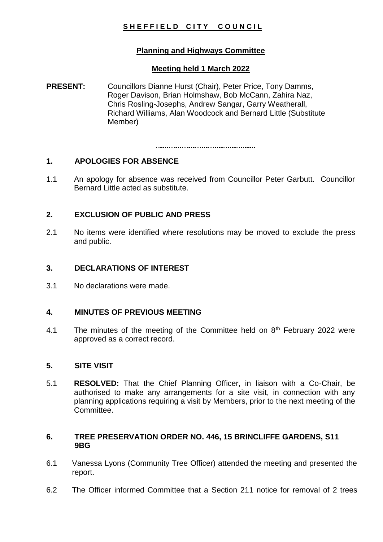# SHEFFIELD CITY COUNCIL

# **Planning and Highways Committee**

#### **Meeting held 1 March 2022**

**PRESENT:** Councillors Dianne Hurst (Chair), Peter Price, Tony Damms, Roger Davison, Brian Holmshaw, Bob McCann, Zahira Naz, Chris Rosling-Josephs, Andrew Sangar, Garry Weatherall, Richard Williams, Alan Woodcock and Bernard Little (Substitute Member)

# **1. APOLOGIES FOR ABSENCE**

1.1 An apology for absence was received from Councillor Peter Garbutt. Councillor Bernard Little acted as substitute.

# **2. EXCLUSION OF PUBLIC AND PRESS**

2.1 No items were identified where resolutions may be moved to exclude the press and public.

## **3. DECLARATIONS OF INTEREST**

3.1 No declarations were made.

## **4. MINUTES OF PREVIOUS MEETING**

4.1 The minutes of the meeting of the Committee held on  $8<sup>th</sup>$  February 2022 were approved as a correct record.

#### **5. SITE VISIT**

5.1 **RESOLVED:** That the Chief Planning Officer, in liaison with a Co-Chair, be authorised to make any arrangements for a site visit, in connection with any planning applications requiring a visit by Members, prior to the next meeting of the Committee.

## **6. TREE PRESERVATION ORDER NO. 446, 15 BRINCLIFFE GARDENS, S11 9BG**

- 6.1 Vanessa Lyons (Community Tree Officer) attended the meeting and presented the report.
- 6.2 The Officer informed Committee that a Section 211 notice for removal of 2 trees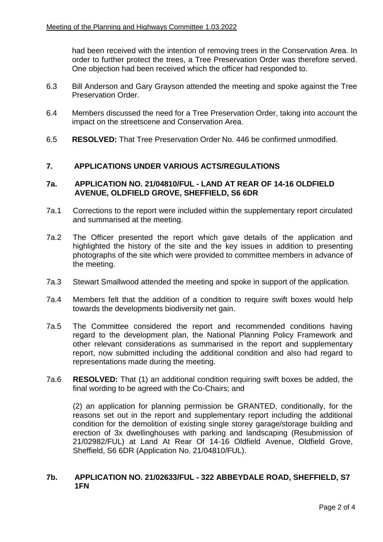had been received with the intention of removing trees in the Conservation Area. In order to further protect the trees, a Tree Preservation Order was therefore served. One objection had been received which the officer had responded to.

- 6.3 Bill Anderson and Gary Grayson attended the meeting and spoke against the Tree Preservation Order.
- 6.4 Members discussed the need for a Tree Preservation Order, taking into account the impact on the streetscene and Conservation Area.
- 6.5 **RESOLVED:** That Tree Preservation Order No. 446 be confirmed unmodified.

#### **7. APPLICATIONS UNDER VARIOUS ACTS/REGULATIONS**

#### **7a. APPLICATION NO. 21/04810/FUL - LAND AT REAR OF 14-16 OLDFIELD AVENUE, OLDFIELD GROVE, SHEFFIELD, S6 6DR**

- 7a.1 Corrections to the report were included within the supplementary report circulated and summarised at the meeting.
- 7a.2 The Officer presented the report which gave details of the application and highlighted the history of the site and the key issues in addition to presenting photographs of the site which were provided to committee members in advance of the meeting.
- 7a.3 Stewart Smallwood attended the meeting and spoke in support of the application.
- 7a.4 Members felt that the addition of a condition to require swift boxes would help towards the developments biodiversity net gain.
- 7a.5 The Committee considered the report and recommended conditions having regard to the development plan, the National Planning Policy Framework and other relevant considerations as summarised in the report and supplementary report, now submitted including the additional condition and also had regard to representations made during the meeting.
- 7a.6 **RESOLVED:** That (1) an additional condition requiring swift boxes be added, the final wording to be agreed with the Co-Chairs; and

(2) an application for planning permission be GRANTED, conditionally, for the reasons set out in the report and supplementary report including the additional condition for the demolition of existing single storey garage/storage building and erection of 3x dwellinghouses with parking and landscaping (Resubmission of 21/02982/FUL) at Land At Rear Of 14-16 Oldfield Avenue, Oldfield Grove, Sheffield, S6 6DR (Application No. 21/04810/FUL).

## **7b. APPLICATION NO. 21/02633/FUL - 322 ABBEYDALE ROAD, SHEFFIELD, S7 1FN**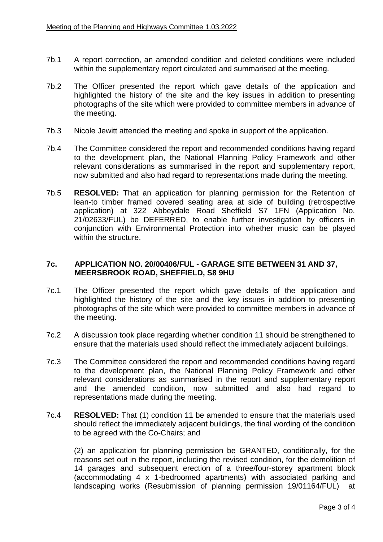- 7b.1 A report correction, an amended condition and deleted conditions were included within the supplementary report circulated and summarised at the meeting.
- 7b.2 The Officer presented the report which gave details of the application and highlighted the history of the site and the key issues in addition to presenting photographs of the site which were provided to committee members in advance of the meeting.
- 7b.3 Nicole Jewitt attended the meeting and spoke in support of the application.
- 7b.4 The Committee considered the report and recommended conditions having regard to the development plan, the National Planning Policy Framework and other relevant considerations as summarised in the report and supplementary report, now submitted and also had regard to representations made during the meeting.
- 7b.5 **RESOLVED:** That an application for planning permission for the Retention of lean-to timber framed covered seating area at side of building (retrospective application) at 322 Abbeydale Road Sheffield S7 1FN (Application No. 21/02633/FUL) be DEFERRED, to enable further investigation by officers in conjunction with Environmental Protection into whether music can be played within the structure.

#### **7c. APPLICATION NO. 20/00406/FUL - GARAGE SITE BETWEEN 31 AND 37, MEERSBROOK ROAD, SHEFFIELD, S8 9HU**

- 7c.1 The Officer presented the report which gave details of the application and highlighted the history of the site and the key issues in addition to presenting photographs of the site which were provided to committee members in advance of the meeting.
- 7c.2 A discussion took place regarding whether condition 11 should be strengthened to ensure that the materials used should reflect the immediately adjacent buildings.
- 7c.3 The Committee considered the report and recommended conditions having regard to the development plan, the National Planning Policy Framework and other relevant considerations as summarised in the report and supplementary report and the amended condition, now submitted and also had regard to representations made during the meeting.
- 7c.4 **RESOLVED:** That (1) condition 11 be amended to ensure that the materials used should reflect the immediately adjacent buildings, the final wording of the condition to be agreed with the Co-Chairs; and

(2) an application for planning permission be GRANTED, conditionally, for the reasons set out in the report, including the revised condition, for the demolition of 14 garages and subsequent erection of a three/four-storey apartment block (accommodating 4 x 1-bedroomed apartments) with associated parking and landscaping works (Resubmission of planning permission 19/01164/FUL) at